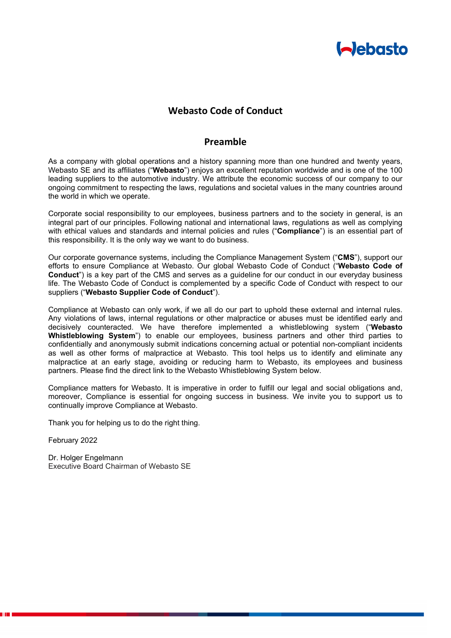

### **Webasto Code of Conduct**

### **Preamble**

<span id="page-0-0"></span>As a company with global operations and a history spanning more than one hundred and twenty years, Webasto SE and its affiliates ("**Webasto**") enjoys an excellent reputation worldwide and is one of the 100 leading suppliers to the automotive industry. We attribute the economic success of our company to our ongoing commitment to respecting the laws, regulations and societal values in the many countries around the world in which we operate.

Corporate social responsibility to our employees, business partners and to the society in general, is an integral part of our principles. Following national and international laws, regulations as well as complying with ethical values and standards and internal policies and rules ("**Compliance**") is an essential part of this responsibility. It is the only way we want to do business.

Our corporate governance systems, including the Compliance Management System ("**CMS**"), support our efforts to ensure Compliance at Webasto. Our global Webasto Code of Conduct ("**Webasto Code of Conduct**") is a key part of the CMS and serves as a guideline for our conduct in our everyday business life. The Webasto Code of Conduct is complemented by a specific Code of Conduct with respect to our suppliers ("**Webasto Supplier Code of Conduct**").

Compliance at Webasto can only work, if we all do our part to uphold these external and internal rules. Any violations of laws, internal regulations or other malpractice or abuses must be identified early and decisively counteracted. We have therefore implemented a whistleblowing system ("**Webasto Whistleblowing System**") to enable our employees, business partners and other third parties to confidentially and anonymously submit indications concerning actual or potential non-compliant incidents as well as other forms of malpractice at Webasto. This tool helps us to identify and eliminate any malpractice at an early stage, avoiding or reducing harm to Webasto, its employees and business partners. Please find the direct link to the Webasto Whistleblowing System below.

Compliance matters for Webasto. It is imperative in order to fulfill our legal and social obligations and, moreover, Compliance is essential for ongoing success in business. We invite you to support us to continually improve Compliance at Webasto.

Thank you for helping us to do the right thing.

February 2022

Dr. Holger Engelmann Executive Board Chairman of Webasto SE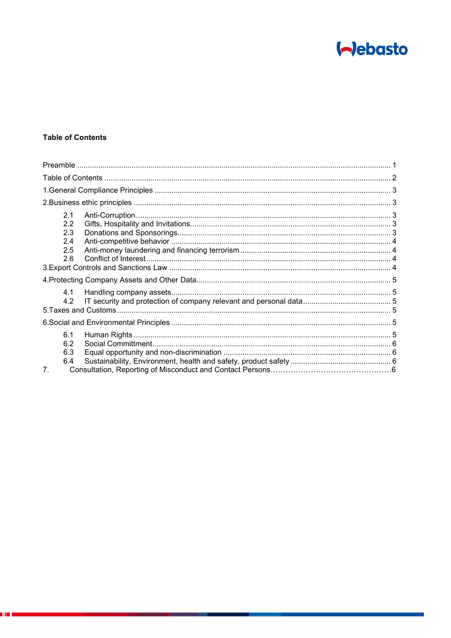

### <span id="page-1-0"></span>**Table of Contents**

III I

|                | 2.1<br>2.2<br>2.3<br>2.4<br>2.5<br>2.6 |  |
|----------------|----------------------------------------|--|
|                |                                        |  |
|                | 4.1<br>4.2                             |  |
|                |                                        |  |
| 7 <sub>1</sub> | 6.1<br>6.2<br>6.3<br>6.4               |  |
|                |                                        |  |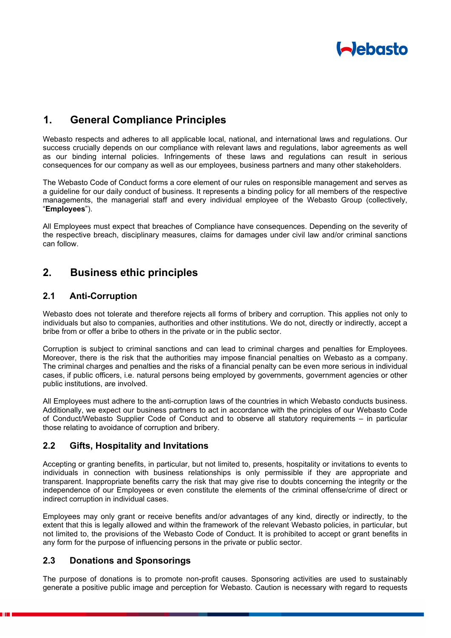

# <span id="page-2-0"></span>**1. General Compliance Principles**

Webasto respects and adheres to all applicable local, national, and international laws and regulations. Our success crucially depends on our compliance with relevant laws and regulations, labor agreements as well as our binding internal policies. Infringements of these laws and regulations can result in serious consequences for our company as well as our employees, business partners and many other stakeholders.

The Webasto Code of Conduct forms a core element of our rules on responsible management and serves as a guideline for our daily conduct of business. It represents a binding policy for all members of the respective managements, the managerial staff and every individual employee of the Webasto Group (collectively, "**Employees**").

All Employees must expect that breaches of Compliance have consequences. Depending on the severity of the respective breach, disciplinary measures, claims for damages under civil law and/or criminal sanctions can follow.

## <span id="page-2-1"></span>**2. Business ethic principles**

### <span id="page-2-2"></span>**2.1 Anti-Corruption**

Webasto does not tolerate and therefore rejects all forms of bribery and corruption. This applies not only to individuals but also to companies, authorities and other institutions. We do not, directly or indirectly, accept a bribe from or offer a bribe to others in the private or in the public sector.

Corruption is subject to criminal sanctions and can lead to criminal charges and penalties for Employees. Moreover, there is the risk that the authorities may impose financial penalties on Webasto as a company. The criminal charges and penalties and the risks of a financial penalty can be even more serious in individual cases, if public officers, i.e. natural persons being employed by governments, government agencies or other public institutions, are involved.

All Employees must adhere to the anti-corruption laws of the countries in which Webasto conducts business. Additionally, we expect our business partners to act in accordance with the principles of our Webasto Code of Conduct/Webasto Supplier Code of Conduct and to observe all statutory requirements – in particular those relating to avoidance of corruption and bribery.

### <span id="page-2-3"></span>**2.2 Gifts, Hospitality and Invitations**

Accepting or granting benefits, in particular, but not limited to, presents, hospitality or invitations to events to individuals in connection with business relationships is only permissible if they are appropriate and transparent. Inappropriate benefits carry the risk that may give rise to doubts concerning the integrity or the independence of our Employees or even constitute the elements of the criminal offense/crime of direct or indirect corruption in individual cases.

Employees may only grant or receive benefits and/or advantages of any kind, directly or indirectly, to the extent that this is legally allowed and within the framework of the relevant Webasto policies, in particular, but not limited to, the provisions of the Webasto Code of Conduct. It is prohibited to accept or grant benefits in any form for the purpose of influencing persons in the private or public sector.

### <span id="page-2-4"></span>**2.3 Donations and Sponsorings**

The purpose of donations is to promote non-profit causes. Sponsoring activities are used to sustainably generate a positive public image and perception for Webasto. Caution is necessary with regard to requests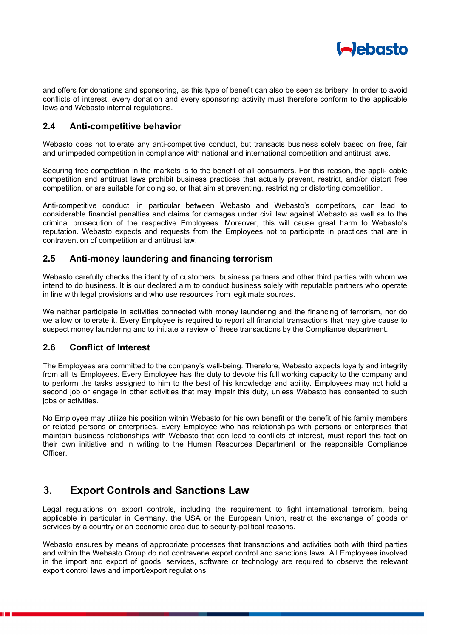

and offers for donations and sponsoring, as this type of benefit can also be seen as bribery. In order to avoid conflicts of interest, every donation and every sponsoring activity must therefore conform to the applicable laws and Webasto internal regulations.

### <span id="page-3-0"></span>**2.4 Anti-competitive behavior**

Webasto does not tolerate any anti-competitive conduct, but transacts business solely based on free, fair and unimpeded competition in compliance with national and international competition and antitrust laws.

Securing free competition in the markets is to the benefit of all consumers. For this reason, the appli- cable competition and antitrust laws prohibit business practices that actually prevent, restrict, and/or distort free competition, or are suitable for doing so, or that aim at preventing, restricting or distorting competition.

Anti-competitive conduct, in particular between Webasto and Webasto's competitors, can lead to considerable financial penalties and claims for damages under civil law against Webasto as well as to the criminal prosecution of the respective Employees. Moreover, this will cause great harm to Webasto's reputation. Webasto expects and requests from the Employees not to participate in practices that are in contravention of competition and antitrust law.

### <span id="page-3-1"></span>**2.5 Anti-money laundering and financing terrorism**

Webasto carefully checks the identity of customers, business partners and other third parties with whom we intend to do business. It is our declared aim to conduct business solely with reputable partners who operate in line with legal provisions and who use resources from legitimate sources.

We neither participate in activities connected with money laundering and the financing of terrorism, nor do we allow or tolerate it. Every Employee is required to report all financial transactions that may give cause to suspect money laundering and to initiate a review of these transactions by the Compliance department.

#### <span id="page-3-2"></span>**2.6 Conflict of Interest**

The Employees are committed to the company's well-being. Therefore, Webasto expects loyalty and integrity from all its Employees. Every Employee has the duty to devote his full working capacity to the company and to perform the tasks assigned to him to the best of his knowledge and ability. Employees may not hold a second job or engage in other activities that may impair this duty, unless Webasto has consented to such jobs or activities.

No Employee may utilize his position within Webasto for his own benefit or the benefit of his family members or related persons or enterprises. Every Employee who has relationships with persons or enterprises that maintain business relationships with Webasto that can lead to conflicts of interest, must report this fact on their own initiative and in writing to the Human Resources Department or the responsible Compliance Officer.

### <span id="page-3-3"></span>**3. Export Controls and Sanctions Law**

Legal regulations on export controls, including the requirement to fight international terrorism, being applicable in particular in Germany, the USA or the European Union, restrict the exchange of goods or services by a country or an economic area due to security-political reasons.

Webasto ensures by means of appropriate processes that transactions and activities both with third parties and within the Webasto Group do not contravene export control and sanctions laws. All Employees involved in the import and export of goods, services, software or technology are required to observe the relevant export control laws and import/export regulations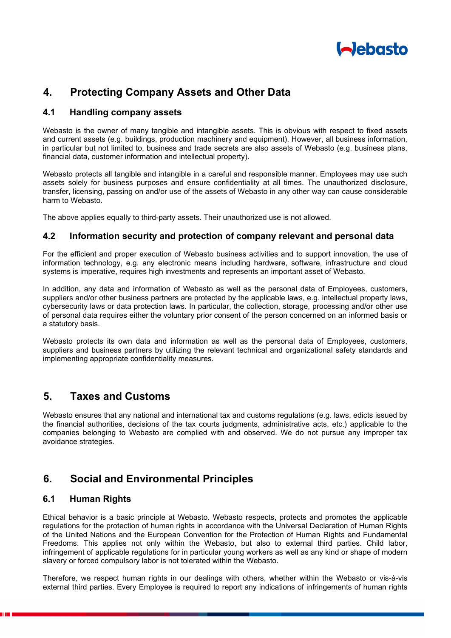

# <span id="page-4-0"></span>**4. Protecting Company Assets and Other Data**

### <span id="page-4-1"></span>**4.1 Handling company assets**

Webasto is the owner of many tangible and intangible assets. This is obvious with respect to fixed assets and current assets (e.g. buildings, production machinery and equipment). However, all business information, in particular but not limited to, business and trade secrets are also assets of Webasto (e.g. business plans, financial data, customer information and intellectual property).

Webasto protects all tangible and intangible in a careful and responsible manner. Employees may use such assets solely for business purposes and ensure confidentiality at all times. The unauthorized disclosure, transfer, licensing, passing on and/or use of the assets of Webasto in any other way can cause considerable harm to Webasto.

The above applies equally to third-party assets. Their unauthorized use is not allowed.

### <span id="page-4-2"></span>**4.2 Information security and protection of company relevant and personal data**

For the efficient and proper execution of Webasto business activities and to support innovation, the use of information technology, e.g. any electronic means including hardware, software, infrastructure and cloud systems is imperative, requires high investments and represents an important asset of Webasto.

In addition, any data and information of Webasto as well as the personal data of Employees, customers, suppliers and/or other business partners are protected by the applicable laws, e.g. intellectual property laws, cybersecurity laws or data protection laws. In particular, the collection, storage, processing and/or other use of personal data requires either the voluntary prior consent of the person concerned on an informed basis or a statutory basis.

Webasto protects its own data and information as well as the personal data of Employees, customers, suppliers and business partners by utilizing the relevant technical and organizational safety standards and implementing appropriate confidentiality measures.

## <span id="page-4-3"></span>**5. Taxes and Customs**

Webasto ensures that any national and international tax and customs regulations (e.g. laws, edicts issued by the financial authorities, decisions of the tax courts judgments, administrative acts, etc.) applicable to the companies belonging to Webasto are complied with and observed. We do not pursue any improper tax avoidance strategies.

## <span id="page-4-4"></span>**6. Social and Environmental Principles**

### <span id="page-4-5"></span>**6.1 Human Rights**

Ethical behavior is a basic principle at Webasto. Webasto respects, protects and promotes the applicable regulations for the protection of human rights in accordance with the Universal Declaration of Human Rights of the United Nations and the European Convention for the Protection of Human Rights and Fundamental Freedoms. This applies not only within the Webasto, but also to external third parties. Child labor, infringement of applicable regulations for in particular young workers as well as any kind or shape of modern slavery or forced compulsory labor is not tolerated within the Webasto.

Therefore, we respect human rights in our dealings with others, whether within the Webasto or vis-à-vis external third parties. Every Employee is required to report any indications of infringements of human rights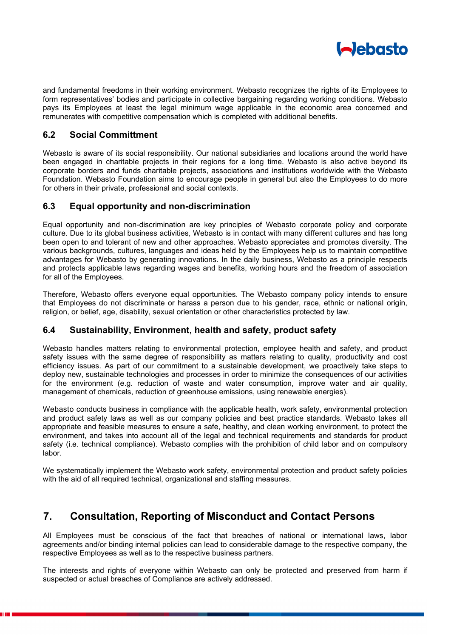

and fundamental freedoms in their working environment. Webasto recognizes the rights of its Employees to form representatives' bodies and participate in collective bargaining regarding working conditions. Webasto pays its Employees at least the legal minimum wage applicable in the economic area concerned and remunerates with competitive compensation which is completed with additional benefits.

### <span id="page-5-0"></span>**6.2 Social Committment**

Webasto is aware of its social responsibility. Our national subsidiaries and locations around the world have been engaged in charitable projects in their regions for a long time. Webasto is also active beyond its corporate borders and funds charitable projects, associations and institutions worldwide with the Webasto Foundation. Webasto Foundation aims to encourage people in general but also the Employees to do more for others in their private, professional and social contexts.

### <span id="page-5-1"></span>**6.3 Equal opportunity and non-discrimination**

Equal opportunity and non-discrimination are key principles of Webasto corporate policy and corporate culture. Due to its global business activities, Webasto is in contact with many different cultures and has long been open to and tolerant of new and other approaches. Webasto appreciates and promotes diversity. The various backgrounds, cultures, languages and ideas held by the Employees help us to maintain competitive advantages for Webasto by generating innovations. In the daily business, Webasto as a principle respects and protects applicable laws regarding wages and benefits, working hours and the freedom of association for all of the Employees.

Therefore, Webasto offers everyone equal opportunities. The Webasto company policy intends to ensure that Employees do not discriminate or harass a person due to his gender, race, ethnic or national origin, religion, or belief, age, disability, sexual orientation or other characteristics protected by law.

### <span id="page-5-2"></span>**6.4 Sustainability, Environment, health and safety, product safety**

Webasto handles matters relating to environmental protection, employee health and safety, and product safety issues with the same degree of responsibility as matters relating to quality, productivity and cost efficiency issues. As part of our commitment to a sustainable development, we proactively take steps to deploy new, sustainable technologies and processes in order to minimize the consequences of our activities for the environment (e.g. reduction of waste and water consumption, improve water and air quality, management of chemicals, reduction of greenhouse emissions, using renewable energies).

Webasto conducts business in compliance with the applicable health, work safety, environmental protection and product safety laws as well as our company policies and best practice standards. Webasto takes all appropriate and feasible measures to ensure a safe, healthy, and clean working environment, to protect the environment, and takes into account all of the legal and technical requirements and standards for product safety (i.e. technical compliance). Webasto complies with the prohibition of child labor and on compulsory labor.

We systematically implement the Webasto work safety, environmental protection and product safety policies with the aid of all required technical, organizational and staffing measures.

# <span id="page-5-3"></span>**7. Consultation, Reporting of Misconduct and Contact Persons**

All Employees must be conscious of the fact that breaches of national or international laws, labor agreements and/or binding internal policies can lead to considerable damage to the respective company, the respective Employees as well as to the respective business partners.

The interests and rights of everyone within Webasto can only be protected and preserved from harm if suspected or actual breaches of Compliance are actively addressed.